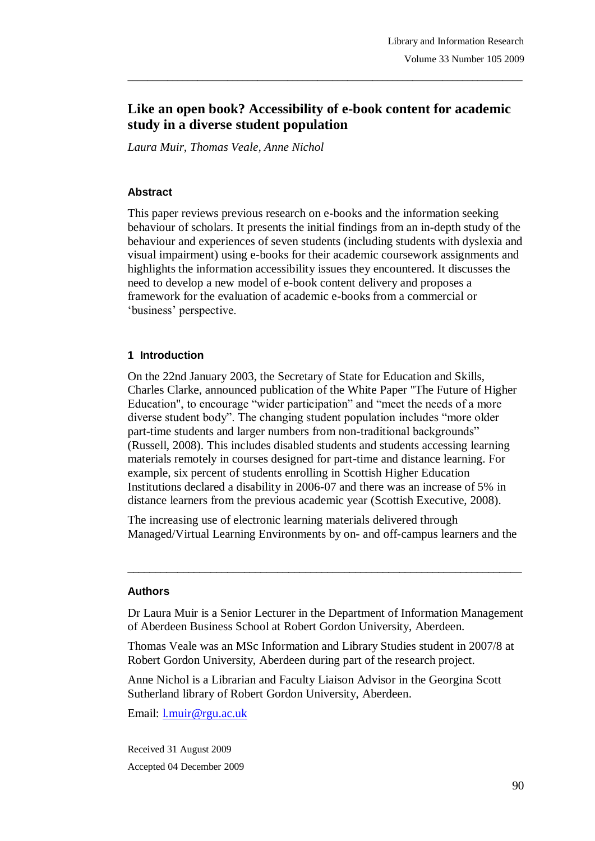# **Like an open book? Accessibility of e-book content for academic study in a diverse student population**

 $\_$  ,  $\_$  ,  $\_$  ,  $\_$  ,  $\_$  ,  $\_$  ,  $\_$  ,  $\_$  ,  $\_$  ,  $\_$  ,  $\_$  ,  $\_$  ,  $\_$  ,  $\_$  ,  $\_$  ,  $\_$  ,  $\_$  ,  $\_$  ,  $\_$  ,  $\_$  ,  $\_$  ,  $\_$  ,  $\_$  ,  $\_$  ,  $\_$  ,  $\_$  ,  $\_$  ,  $\_$  ,  $\_$  ,  $\_$  ,  $\_$  ,  $\_$  ,  $\_$  ,  $\_$  ,  $\_$  ,  $\_$  ,  $\_$  ,

*Laura Muir, Thomas Veale, Anne Nichol*

#### **Abstract**

This paper reviews previous research on e-books and the information seeking behaviour of scholars. It presents the initial findings from an in-depth study of the behaviour and experiences of seven students (including students with dyslexia and visual impairment) using e-books for their academic coursework assignments and highlights the information accessibility issues they encountered. It discusses the need to develop a new model of e-book content delivery and proposes a framework for the evaluation of academic e-books from a commercial or 'business' perspective.

#### **1 Introduction**

On the 22nd January 2003, the Secretary of State for Education and Skills, Charles Clarke, announced publication of the White Paper "The Future of Higher Education", to encourage "wider participation" and "meet the needs of a more diverse student body". The changing student population includes "more older part-time students and larger numbers from non-traditional backgrounds" (Russell, 2008). This includes disabled students and students accessing learning materials remotely in courses designed for part-time and distance learning. For example, six percent of students enrolling in Scottish Higher Education Institutions declared a disability in 2006-07 and there was an increase of 5% in distance learners from the previous academic year (Scottish Executive, 2008).

The increasing use of electronic learning materials delivered through Managed/Virtual Learning Environments by on- and off-campus learners and the

\_\_\_\_\_\_\_\_\_\_\_\_\_\_\_\_\_\_\_\_\_\_\_\_\_\_\_\_\_\_\_\_\_\_\_\_\_\_\_\_\_\_\_\_\_\_\_\_\_\_\_\_\_\_\_\_\_\_\_\_\_\_\_\_\_\_\_\_\_\_\_

#### **Authors**

Dr Laura Muir is a Senior Lecturer in the Department of Information Management of Aberdeen Business School at Robert Gordon University, Aberdeen.

Thomas Veale was an MSc Information and Library Studies student in 2007/8 at Robert Gordon University, Aberdeen during part of the research project.

Anne Nichol is a Librarian and Faculty Liaison Advisor in the Georgina Scott Sutherland library of Robert Gordon University, Aberdeen.

Email: l.muir@rgu.ac.uk

Received 31 August 2009 Accepted 04 December 2009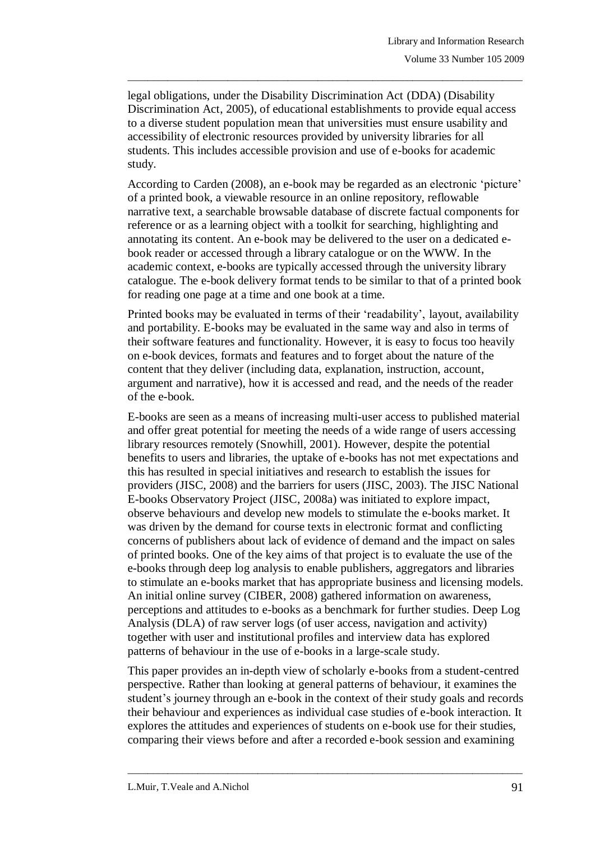legal obligations, under the Disability Discrimination Act (DDA) (Disability Discrimination Act, 2005), of educational establishments to provide equal access to a diverse student population mean that universities must ensure usability and accessibility of electronic resources provided by university libraries for all students. This includes accessible provision and use of e-books for academic study.

 $\_$  ,  $\_$  ,  $\_$  ,  $\_$  ,  $\_$  ,  $\_$  ,  $\_$  ,  $\_$  ,  $\_$  ,  $\_$  ,  $\_$  ,  $\_$  ,  $\_$  ,  $\_$  ,  $\_$  ,  $\_$  ,  $\_$  ,  $\_$  ,  $\_$  ,  $\_$  ,  $\_$  ,  $\_$  ,  $\_$  ,  $\_$  ,  $\_$  ,  $\_$  ,  $\_$  ,  $\_$  ,  $\_$  ,  $\_$  ,  $\_$  ,  $\_$  ,  $\_$  ,  $\_$  ,  $\_$  ,  $\_$  ,  $\_$  ,

According to Carden (2008), an e-book may be regarded as an electronic "picture" of a printed book, a viewable resource in an online repository, reflowable narrative text, a searchable browsable database of discrete factual components for reference or as a learning object with a toolkit for searching, highlighting and annotating its content. An e-book may be delivered to the user on a dedicated ebook reader or accessed through a library catalogue or on the WWW. In the academic context, e-books are typically accessed through the university library catalogue. The e-book delivery format tends to be similar to that of a printed book for reading one page at a time and one book at a time.

Printed books may be evaluated in terms of their "readability", layout, availability and portability. E-books may be evaluated in the same way and also in terms of their software features and functionality. However, it is easy to focus too heavily on e-book devices, formats and features and to forget about the nature of the content that they deliver (including data, explanation, instruction, account, argument and narrative), how it is accessed and read, and the needs of the reader of the e-book.

E-books are seen as a means of increasing multi-user access to published material and offer great potential for meeting the needs of a wide range of users accessing library resources remotely (Snowhill, 2001). However, despite the potential benefits to users and libraries, the uptake of e-books has not met expectations and this has resulted in special initiatives and research to establish the issues for providers (JISC, 2008) and the barriers for users (JISC, 2003). The JISC National E-books Observatory Project (JISC, 2008a) was initiated to explore impact, observe behaviours and develop new models to stimulate the e-books market. It was driven by the demand for course texts in electronic format and conflicting concerns of publishers about lack of evidence of demand and the impact on sales of printed books. One of the key aims of that project is to evaluate the use of the e-books through deep log analysis to enable publishers, aggregators and libraries to stimulate an e-books market that has appropriate business and licensing models. An initial online survey (CIBER, 2008) gathered information on awareness, perceptions and attitudes to e-books as a benchmark for further studies. Deep Log Analysis (DLA) of raw server logs (of user access, navigation and activity) together with user and institutional profiles and interview data has explored patterns of behaviour in the use of e-books in a large-scale study.

This paper provides an in-depth view of scholarly e-books from a student-centred perspective. Rather than looking at general patterns of behaviour, it examines the student"s journey through an e-book in the context of their study goals and records their behaviour and experiences as individual case studies of e-book interaction. It explores the attitudes and experiences of students on e-book use for their studies, comparing their views before and after a recorded e-book session and examining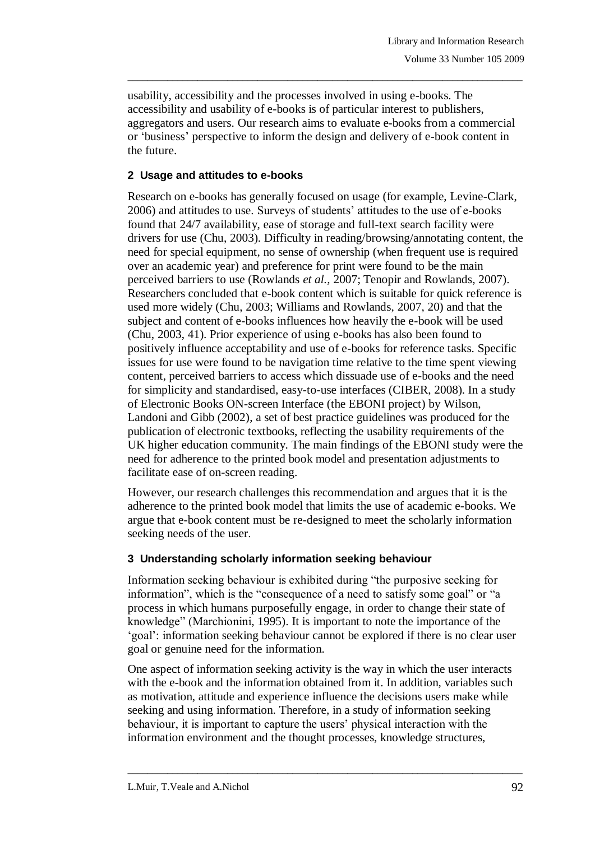usability, accessibility and the processes involved in using e-books. The accessibility and usability of e-books is of particular interest to publishers, aggregators and users. Our research aims to evaluate e-books from a commercial or "business" perspective to inform the design and delivery of e-book content in the future.

 $\_$  ,  $\_$  ,  $\_$  ,  $\_$  ,  $\_$  ,  $\_$  ,  $\_$  ,  $\_$  ,  $\_$  ,  $\_$  ,  $\_$  ,  $\_$  ,  $\_$  ,  $\_$  ,  $\_$  ,  $\_$  ,  $\_$  ,  $\_$  ,  $\_$  ,  $\_$  ,  $\_$  ,  $\_$  ,  $\_$  ,  $\_$  ,  $\_$  ,  $\_$  ,  $\_$  ,  $\_$  ,  $\_$  ,  $\_$  ,  $\_$  ,  $\_$  ,  $\_$  ,  $\_$  ,  $\_$  ,  $\_$  ,  $\_$  ,

## **2 Usage and attitudes to e-books**

Research on e-books has generally focused on usage (for example, Levine-Clark, 2006) and attitudes to use. Surveys of students" attitudes to the use of e-books found that 24/7 availability, ease of storage and full-text search facility were drivers for use (Chu, 2003). Difficulty in reading/browsing/annotating content, the need for special equipment, no sense of ownership (when frequent use is required over an academic year) and preference for print were found to be the main perceived barriers to use (Rowlands *et al.,* 2007; Tenopir and Rowlands, 2007). Researchers concluded that e-book content which is suitable for quick reference is used more widely (Chu, 2003; Williams and Rowlands, 2007, 20) and that the subject and content of e-books influences how heavily the e-book will be used (Chu, 2003, 41). Prior experience of using e-books has also been found to positively influence acceptability and use of e-books for reference tasks. Specific issues for use were found to be navigation time relative to the time spent viewing content, perceived barriers to access which dissuade use of e-books and the need for simplicity and standardised, easy-to-use interfaces (CIBER, 2008). In a study of Electronic Books ON-screen Interface (the EBONI project) by Wilson, Landoni and Gibb (2002), a set of best practice guidelines was produced for the publication of electronic textbooks, reflecting the usability requirements of the UK higher education community. The main findings of the EBONI study were the need for adherence to the printed book model and presentation adjustments to facilitate ease of on-screen reading.

However, our research challenges this recommendation and argues that it is the adherence to the printed book model that limits the use of academic e-books. We argue that e-book content must be re-designed to meet the scholarly information seeking needs of the user.

## **3 Understanding scholarly information seeking behaviour**

Information seeking behaviour is exhibited during "the purposive seeking for information", which is the "consequence of a need to satisfy some goal" or "a process in which humans purposefully engage, in order to change their state of knowledge" (Marchionini, 1995). It is important to note the importance of the 'goal': information seeking behaviour cannot be explored if there is no clear user goal or genuine need for the information.

One aspect of information seeking activity is the way in which the user interacts with the e-book and the information obtained from it. In addition, variables such as motivation, attitude and experience influence the decisions users make while seeking and using information. Therefore, in a study of information seeking behaviour, it is important to capture the users" physical interaction with the information environment and the thought processes, knowledge structures,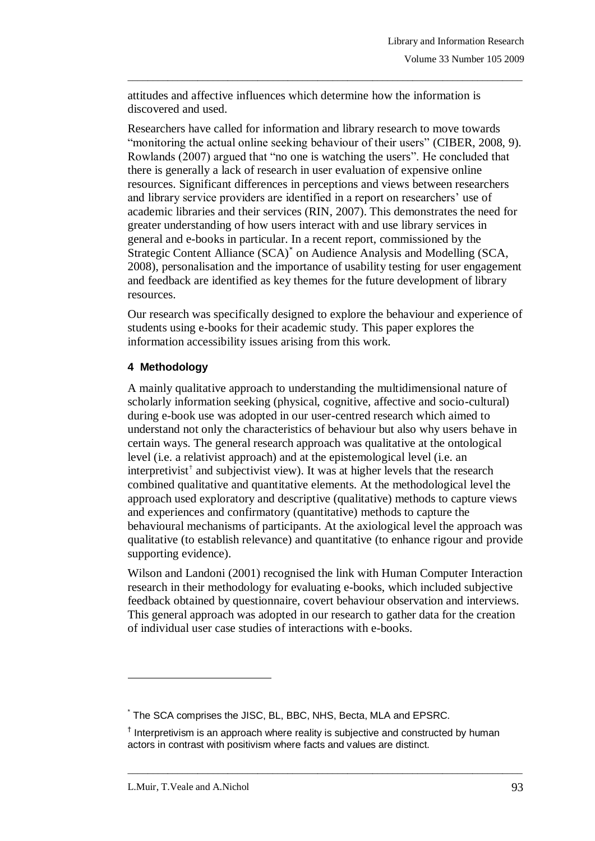attitudes and affective influences which determine how the information is discovered and used.

 $\_$  ,  $\_$  ,  $\_$  ,  $\_$  ,  $\_$  ,  $\_$  ,  $\_$  ,  $\_$  ,  $\_$  ,  $\_$  ,  $\_$  ,  $\_$  ,  $\_$  ,  $\_$  ,  $\_$  ,  $\_$  ,  $\_$  ,  $\_$  ,  $\_$  ,  $\_$  ,  $\_$  ,  $\_$  ,  $\_$  ,  $\_$  ,  $\_$  ,  $\_$  ,  $\_$  ,  $\_$  ,  $\_$  ,  $\_$  ,  $\_$  ,  $\_$  ,  $\_$  ,  $\_$  ,  $\_$  ,  $\_$  ,  $\_$  ,

Researchers have called for information and library research to move towards "monitoring the actual online seeking behaviour of their users" (CIBER, 2008, 9). Rowlands (2007) argued that "no one is watching the users". He concluded that there is generally a lack of research in user evaluation of expensive online resources. Significant differences in perceptions and views between researchers and library service providers are identified in a report on researchers' use of academic libraries and their services (RIN, 2007). This demonstrates the need for greater understanding of how users interact with and use library services in general and e-books in particular. In a recent report, commissioned by the Strategic Content Alliance (SCA)\* on Audience Analysis and Modelling (SCA, 2008), personalisation and the importance of usability testing for user engagement and feedback are identified as key themes for the future development of library resources.

Our research was specifically designed to explore the behaviour and experience of students using e-books for their academic study. This paper explores the information accessibility issues arising from this work.

### **4 Methodology**

A mainly qualitative approach to understanding the multidimensional nature of scholarly information seeking (physical, cognitive, affective and socio-cultural) during e-book use was adopted in our user-centred research which aimed to understand not only the characteristics of behaviour but also why users behave in certain ways. The general research approach was qualitative at the ontological level (i.e. a relativist approach) and at the epistemological level (i.e. an interpretivist† and subjectivist view). It was at higher levels that the research combined qualitative and quantitative elements. At the methodological level the approach used exploratory and descriptive (qualitative) methods to capture views and experiences and confirmatory (quantitative) methods to capture the behavioural mechanisms of participants. At the axiological level the approach was qualitative (to establish relevance) and quantitative (to enhance rigour and provide supporting evidence).

Wilson and Landoni (2001) recognised the link with Human Computer Interaction research in their methodology for evaluating e-books, which included subjective feedback obtained by questionnaire, covert behaviour observation and interviews. This general approach was adopted in our research to gather data for the creation of individual user case studies of interactions with e-books.

 $\_$  ,  $\_$  ,  $\_$  ,  $\_$  ,  $\_$  ,  $\_$  ,  $\_$  ,  $\_$  ,  $\_$  ,  $\_$  ,  $\_$  ,  $\_$  ,  $\_$  ,  $\_$  ,  $\_$  ,  $\_$  ,  $\_$  ,  $\_$  ,  $\_$  ,  $\_$  ,  $\_$  ,  $\_$  ,  $\_$  ,  $\_$  ,  $\_$  ,  $\_$  ,  $\_$  ,  $\_$  ,  $\_$  ,  $\_$  ,  $\_$  ,  $\_$  ,  $\_$  ,  $\_$  ,  $\_$  ,  $\_$  ,  $\_$  ,

 $\overline{a}$ 

<sup>\*</sup> The SCA comprises the JISC, BL, BBC, NHS, Becta, MLA and EPSRC.

<sup>&</sup>lt;sup>†</sup> Interpretivism is an approach where reality is subjective and constructed by human actors in contrast with positivism where facts and values are distinct.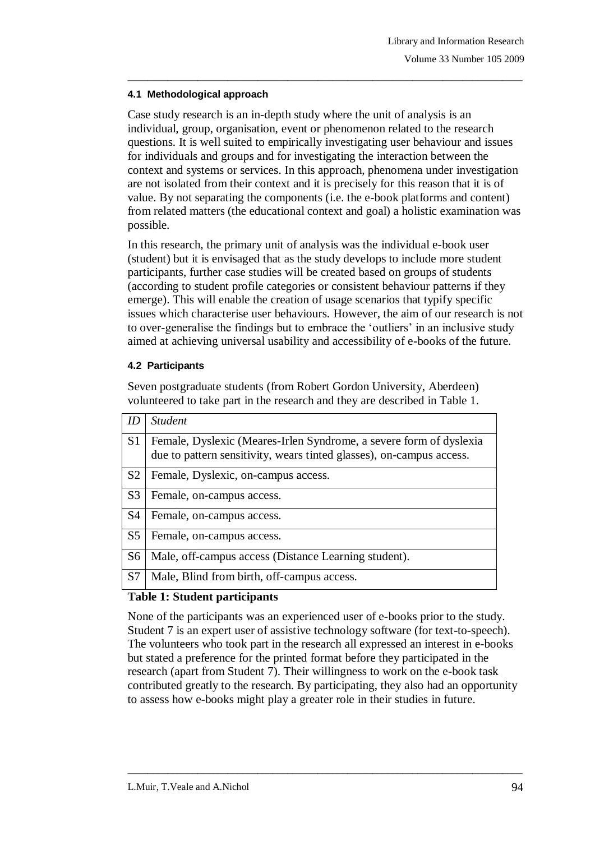### **4.1 Methodological approach**

Case study research is an in-depth study where the unit of analysis is an individual, group, organisation, event or phenomenon related to the research questions. It is well suited to empirically investigating user behaviour and issues for individuals and groups and for investigating the interaction between the context and systems or services. In this approach, phenomena under investigation are not isolated from their context and it is precisely for this reason that it is of value. By not separating the components (i.e. the e-book platforms and content) from related matters (the educational context and goal) a holistic examination was possible.

 $\_$  ,  $\_$  ,  $\_$  ,  $\_$  ,  $\_$  ,  $\_$  ,  $\_$  ,  $\_$  ,  $\_$  ,  $\_$  ,  $\_$  ,  $\_$  ,  $\_$  ,  $\_$  ,  $\_$  ,  $\_$  ,  $\_$  ,  $\_$  ,  $\_$  ,  $\_$  ,  $\_$  ,  $\_$  ,  $\_$  ,  $\_$  ,  $\_$  ,  $\_$  ,  $\_$  ,  $\_$  ,  $\_$  ,  $\_$  ,  $\_$  ,  $\_$  ,  $\_$  ,  $\_$  ,  $\_$  ,  $\_$  ,  $\_$  ,

In this research, the primary unit of analysis was the individual e-book user (student) but it is envisaged that as the study develops to include more student participants, further case studies will be created based on groups of students (according to student profile categories or consistent behaviour patterns if they emerge). This will enable the creation of usage scenarios that typify specific issues which characterise user behaviours. However, the aim of our research is not to over-generalise the findings but to embrace the "outliers" in an inclusive study aimed at achieving universal usability and accessibility of e-books of the future.

### **4.2 Participants**

Seven postgraduate students (from Robert Gordon University, Aberdeen) volunteered to take part in the research and they are described in Table 1.

| ID             | <b>Student</b>                                                                                                                             |
|----------------|--------------------------------------------------------------------------------------------------------------------------------------------|
| S <sub>1</sub> | Female, Dyslexic (Meares-Irlen Syndrome, a severe form of dyslexia<br>due to pattern sensitivity, wears tinted glasses), on-campus access. |
| S <sub>2</sub> | Female, Dyslexic, on-campus access.                                                                                                        |
| S <sub>3</sub> | Female, on-campus access.                                                                                                                  |
| S <sub>4</sub> | Female, on-campus access.                                                                                                                  |
| S <sub>5</sub> | Female, on-campus access.                                                                                                                  |
| S <sub>6</sub> | Male, off-campus access (Distance Learning student).                                                                                       |
| S7             | Male, Blind from birth, off-campus access.                                                                                                 |

## **Table 1: Student participants**

None of the participants was an experienced user of e-books prior to the study. Student 7 is an expert user of assistive technology software (for text-to-speech). The volunteers who took part in the research all expressed an interest in e-books but stated a preference for the printed format before they participated in the research (apart from Student 7). Their willingness to work on the e-book task contributed greatly to the research. By participating, they also had an opportunity to assess how e-books might play a greater role in their studies in future.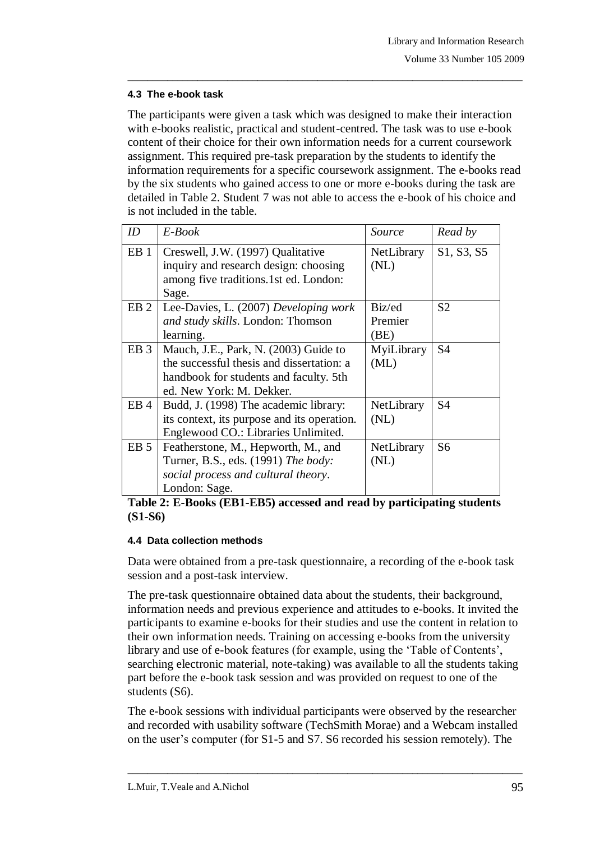### **4.3 The e-book task**

The participants were given a task which was designed to make their interaction with e-books realistic, practical and student-centred. The task was to use e-book content of their choice for their own information needs for a current coursework assignment. This required pre-task preparation by the students to identify the information requirements for a specific coursework assignment. The e-books read by the six students who gained access to one or more e-books during the task are detailed in Table 2. Student 7 was not able to access the e-book of his choice and is not included in the table.

 $\_$  ,  $\_$  ,  $\_$  ,  $\_$  ,  $\_$  ,  $\_$  ,  $\_$  ,  $\_$  ,  $\_$  ,  $\_$  ,  $\_$  ,  $\_$  ,  $\_$  ,  $\_$  ,  $\_$  ,  $\_$  ,  $\_$  ,  $\_$  ,  $\_$  ,  $\_$  ,  $\_$  ,  $\_$  ,  $\_$  ,  $\_$  ,  $\_$  ,  $\_$  ,  $\_$  ,  $\_$  ,  $\_$  ,  $\_$  ,  $\_$  ,  $\_$  ,  $\_$  ,  $\_$  ,  $\_$  ,  $\_$  ,  $\_$  ,

| ID              | $E$ -Book                                                                  | Source             | Read by        |
|-----------------|----------------------------------------------------------------------------|--------------------|----------------|
| EB <sub>1</sub> | Creswell, J.W. (1997) Qualitative<br>inquiry and research design: choosing | NetLibrary<br>(NL) | S1, S3, S5     |
|                 | among five traditions.1st ed. London:<br>Sage.                             |                    |                |
| EB <sub>2</sub> | Lee-Davies, L. (2007) Developing work<br>and study skills. London: Thomson | Biz/ed<br>Premier  | S <sub>2</sub> |
|                 | learning.                                                                  | (BE)               |                |
| EB <sub>3</sub> | Mauch, J.E., Park, N. (2003) Guide to                                      | MyiLibrary         | S <sub>4</sub> |
|                 | the successful thesis and dissertation: a                                  | (ML)               |                |
|                 | handbook for students and faculty. 5th                                     |                    |                |
|                 | ed. New York: M. Dekker.                                                   |                    |                |
| EB <sub>4</sub> | Budd, J. (1998) The academic library:                                      | NetLibrary         | S <sub>4</sub> |
|                 | its context, its purpose and its operation.                                | (NL)               |                |
|                 | Englewood CO.: Libraries Unlimited.                                        |                    |                |
| EB <sub>5</sub> | Featherstone, M., Hepworth, M., and                                        | NetLibrary         | S <sub>6</sub> |
|                 | Turner, B.S., eds. (1991) The body:                                        | (NL)               |                |
|                 | social process and cultural theory.                                        |                    |                |
|                 | London: Sage.                                                              |                    |                |

**Table 2: E-Books (EB1-EB5) accessed and read by participating students (S1-S6)**

#### **4.4 Data collection methods**

Data were obtained from a pre-task questionnaire, a recording of the e-book task session and a post-task interview.

The pre-task questionnaire obtained data about the students, their background, information needs and previous experience and attitudes to e-books. It invited the participants to examine e-books for their studies and use the content in relation to their own information needs. Training on accessing e-books from the university library and use of e-book features (for example, using the "Table of Contents", searching electronic material, note-taking) was available to all the students taking part before the e-book task session and was provided on request to one of the students (S6).

The e-book sessions with individual participants were observed by the researcher and recorded with usability software (TechSmith Morae) and a Webcam installed on the user"s computer (for S1-5 and S7. S6 recorded his session remotely). The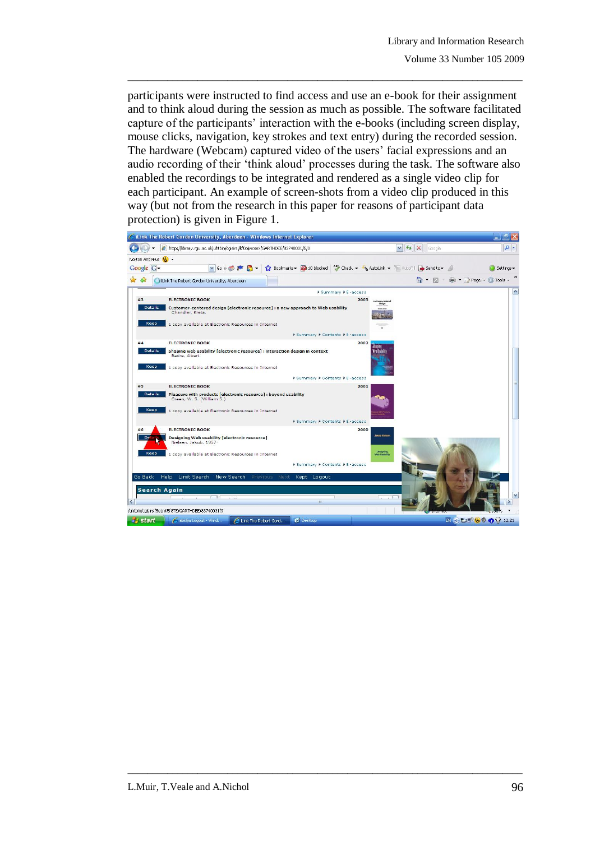participants were instructed to find access and use an e-book for their assignment and to think aloud during the session as much as possible. The software facilitated capture of the participants' interaction with the e-books (including screen display, mouse clicks, navigation, key strokes and text entry) during the recorded session. The hardware (Webcam) captured video of the users' facial expressions and an audio recording of their "think aloud" processes during the task. The software also enabled the recordings to be integrated and rendered as a single video clip for each participant. An example of screen-shots from a video clip produced in this way (but not from the research in this paper for reasons of participant data protection) is given in Figure 1.

 $\_$  ,  $\_$  ,  $\_$  ,  $\_$  ,  $\_$  ,  $\_$  ,  $\_$  ,  $\_$  ,  $\_$  ,  $\_$  ,  $\_$  ,  $\_$  ,  $\_$  ,  $\_$  ,  $\_$  ,  $\_$  ,  $\_$  ,  $\_$  ,  $\_$  ,  $\_$  ,  $\_$  ,  $\_$  ,  $\_$  ,  $\_$  ,  $\_$  ,  $\_$  ,  $\_$  ,  $\_$  ,  $\_$  ,  $\_$  ,  $\_$  ,  $\_$  ,  $\_$  ,  $\_$  ,  $\_$  ,  $\_$  ,  $\_$  ,

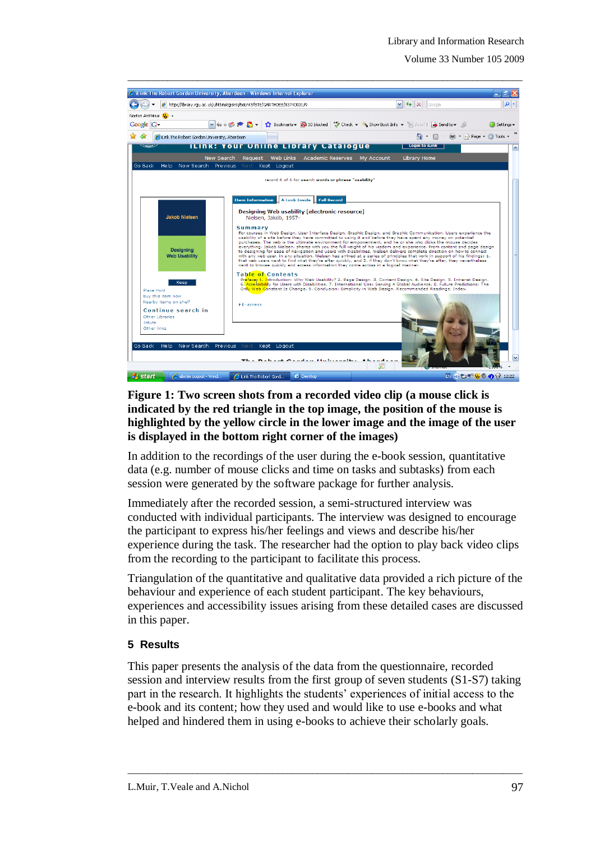Volume 33 Number 105 2009



## **Figure 1: Two screen shots from a recorded video clip (a mouse click is indicated by the red triangle in the top image, the position of the mouse is highlighted by the yellow circle in the lower image and the image of the user is displayed in the bottom right corner of the images)**

In addition to the recordings of the user during the e-book session, quantitative data (e.g. number of mouse clicks and time on tasks and subtasks) from each session were generated by the software package for further analysis.

Immediately after the recorded session, a semi-structured interview was conducted with individual participants. The interview was designed to encourage the participant to express his/her feelings and views and describe his/her experience during the task. The researcher had the option to play back video clips from the recording to the participant to facilitate this process.

Triangulation of the quantitative and qualitative data provided a rich picture of the behaviour and experience of each student participant. The key behaviours, experiences and accessibility issues arising from these detailed cases are discussed in this paper.

### **5 Results**

This paper presents the analysis of the data from the questionnaire, recorded session and interview results from the first group of seven students (S1-S7) taking part in the research. It highlights the students" experiences of initial access to the e-book and its content; how they used and would like to use e-books and what helped and hindered them in using e-books to achieve their scholarly goals.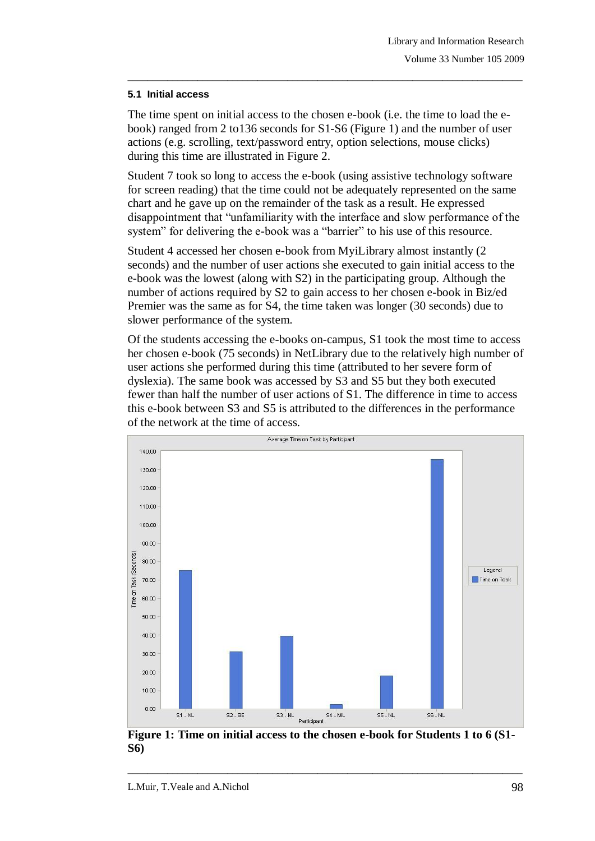#### **5.1 Initial access**

The time spent on initial access to the chosen e-book (i.e. the time to load the ebook) ranged from 2 to136 seconds for S1-S6 (Figure 1) and the number of user actions (e.g. scrolling, text/password entry, option selections, mouse clicks) during this time are illustrated in Figure 2.

 $\_$  ,  $\_$  ,  $\_$  ,  $\_$  ,  $\_$  ,  $\_$  ,  $\_$  ,  $\_$  ,  $\_$  ,  $\_$  ,  $\_$  ,  $\_$  ,  $\_$  ,  $\_$  ,  $\_$  ,  $\_$  ,  $\_$  ,  $\_$  ,  $\_$  ,  $\_$  ,  $\_$  ,  $\_$  ,  $\_$  ,  $\_$  ,  $\_$  ,  $\_$  ,  $\_$  ,  $\_$  ,  $\_$  ,  $\_$  ,  $\_$  ,  $\_$  ,  $\_$  ,  $\_$  ,  $\_$  ,  $\_$  ,  $\_$  ,

Student 7 took so long to access the e-book (using assistive technology software for screen reading) that the time could not be adequately represented on the same chart and he gave up on the remainder of the task as a result. He expressed disappointment that "unfamiliarity with the interface and slow performance of the system" for delivering the e-book was a "barrier" to his use of this resource.

Student 4 accessed her chosen e-book from MyiLibrary almost instantly (2 seconds) and the number of user actions she executed to gain initial access to the e-book was the lowest (along with S2) in the participating group. Although the number of actions required by S2 to gain access to her chosen e-book in Biz/ed Premier was the same as for S4, the time taken was longer (30 seconds) due to slower performance of the system.

Of the students accessing the e-books on-campus, S1 took the most time to access her chosen e-book (75 seconds) in NetLibrary due to the relatively high number of user actions she performed during this time (attributed to her severe form of dyslexia). The same book was accessed by S3 and S5 but they both executed fewer than half the number of user actions of S1. The difference in time to access this e-book between S3 and S5 is attributed to the differences in the performance of the network at the time of access.



**Figure 1: Time on initial access to the chosen e-book for Students 1 to 6 (S1- S6)**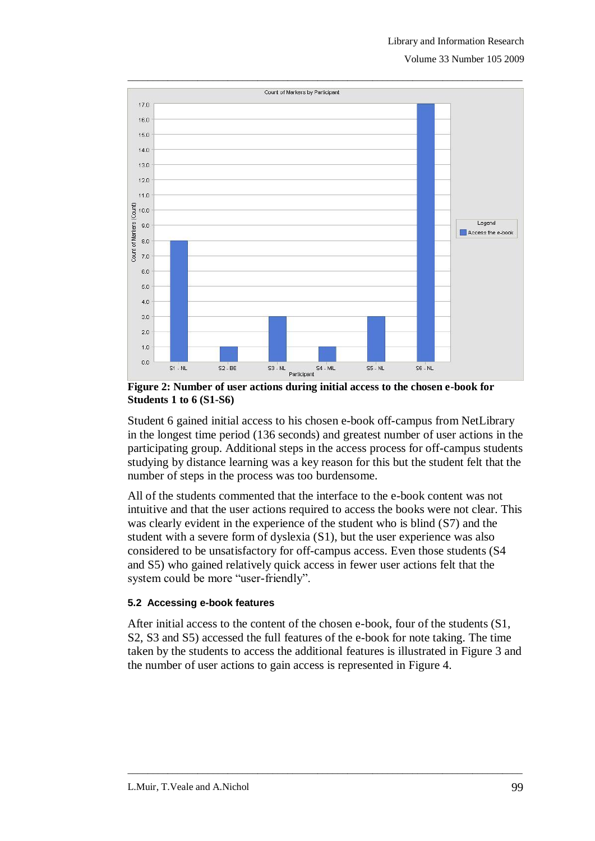

**Figure 2: Number of user actions during initial access to the chosen e-book for Students 1 to 6 (S1-S6)**

Student 6 gained initial access to his chosen e-book off-campus from NetLibrary in the longest time period (136 seconds) and greatest number of user actions in the participating group. Additional steps in the access process for off-campus students studying by distance learning was a key reason for this but the student felt that the number of steps in the process was too burdensome.

All of the students commented that the interface to the e-book content was not intuitive and that the user actions required to access the books were not clear. This was clearly evident in the experience of the student who is blind (S7) and the student with a severe form of dyslexia (S1), but the user experience was also considered to be unsatisfactory for off-campus access. Even those students (S4 and S5) who gained relatively quick access in fewer user actions felt that the system could be more "user-friendly".

### **5.2 Accessing e-book features**

Count of Markers (Count)

After initial access to the content of the chosen e-book, four of the students (S1, S2, S3 and S5) accessed the full features of the e-book for note taking. The time taken by the students to access the additional features is illustrated in Figure 3 and the number of user actions to gain access is represented in Figure 4.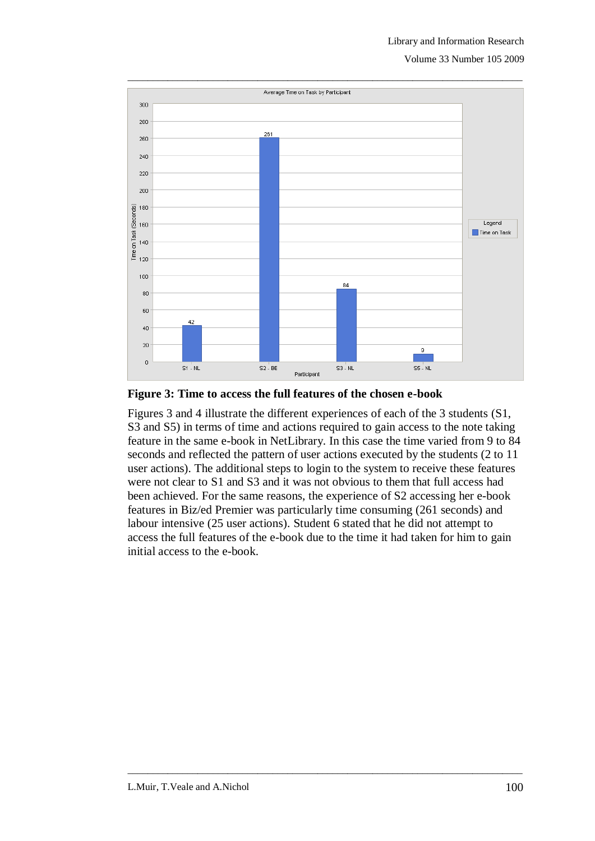Volume 33 Number 105 2009



**Figure 3: Time to access the full features of the chosen e-book**

Figures 3 and 4 illustrate the different experiences of each of the 3 students (S1, S3 and S5) in terms of time and actions required to gain access to the note taking feature in the same e-book in NetLibrary. In this case the time varied from 9 to 84 seconds and reflected the pattern of user actions executed by the students (2 to 11 user actions). The additional steps to login to the system to receive these features were not clear to S1 and S3 and it was not obvious to them that full access had been achieved. For the same reasons, the experience of S2 accessing her e-book features in Biz/ed Premier was particularly time consuming (261 seconds) and labour intensive (25 user actions). Student 6 stated that he did not attempt to access the full features of the e-book due to the time it had taken for him to gain initial access to the e-book.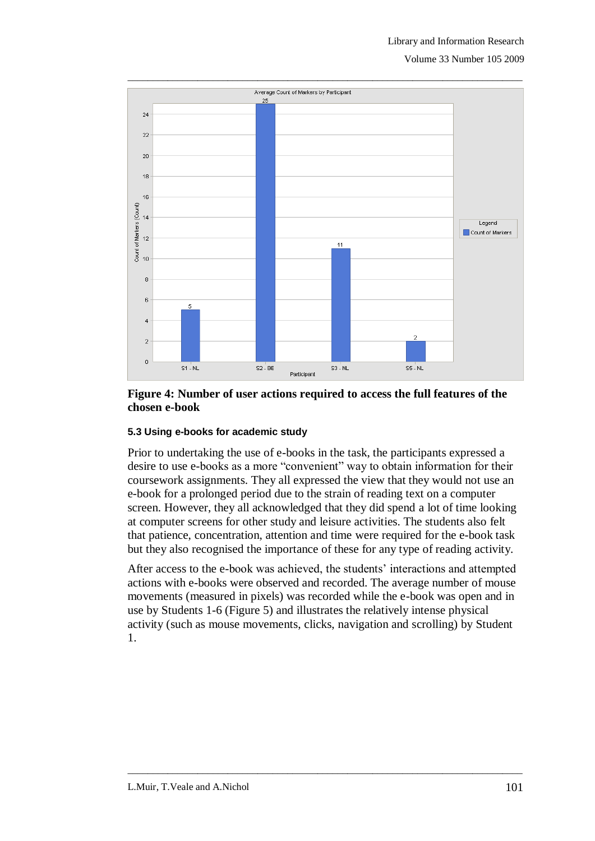Volume 33 Number 105 2009



### **Figure 4: Number of user actions required to access the full features of the chosen e-book**

### **5.3 Using e-books for academic study**

Prior to undertaking the use of e-books in the task, the participants expressed a desire to use e-books as a more "convenient" way to obtain information for their coursework assignments. They all expressed the view that they would not use an e-book for a prolonged period due to the strain of reading text on a computer screen. However, they all acknowledged that they did spend a lot of time looking at computer screens for other study and leisure activities. The students also felt that patience, concentration, attention and time were required for the e-book task but they also recognised the importance of these for any type of reading activity.

After access to the e-book was achieved, the students' interactions and attempted actions with e-books were observed and recorded. The average number of mouse movements (measured in pixels) was recorded while the e-book was open and in use by Students 1-6 (Figure 5) and illustrates the relatively intense physical activity (such as mouse movements, clicks, navigation and scrolling) by Student 1.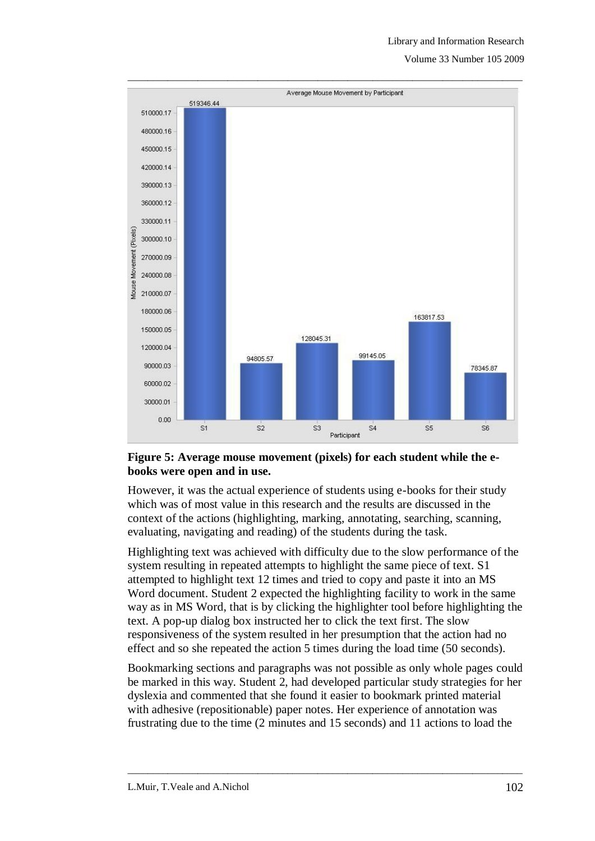#### Library and Information Research

Volume 33 Number 105 2009



#### **Figure 5: Average mouse movement (pixels) for each student while the ebooks were open and in use.**

However, it was the actual experience of students using e-books for their study which was of most value in this research and the results are discussed in the context of the actions (highlighting, marking, annotating, searching, scanning, evaluating, navigating and reading) of the students during the task.

Highlighting text was achieved with difficulty due to the slow performance of the system resulting in repeated attempts to highlight the same piece of text. S1 attempted to highlight text 12 times and tried to copy and paste it into an MS Word document. Student 2 expected the highlighting facility to work in the same way as in MS Word, that is by clicking the highlighter tool before highlighting the text. A pop-up dialog box instructed her to click the text first. The slow responsiveness of the system resulted in her presumption that the action had no effect and so she repeated the action 5 times during the load time (50 seconds).

Bookmarking sections and paragraphs was not possible as only whole pages could be marked in this way. Student 2, had developed particular study strategies for her dyslexia and commented that she found it easier to bookmark printed material with adhesive (repositionable) paper notes. Her experience of annotation was frustrating due to the time (2 minutes and 15 seconds) and 11 actions to load the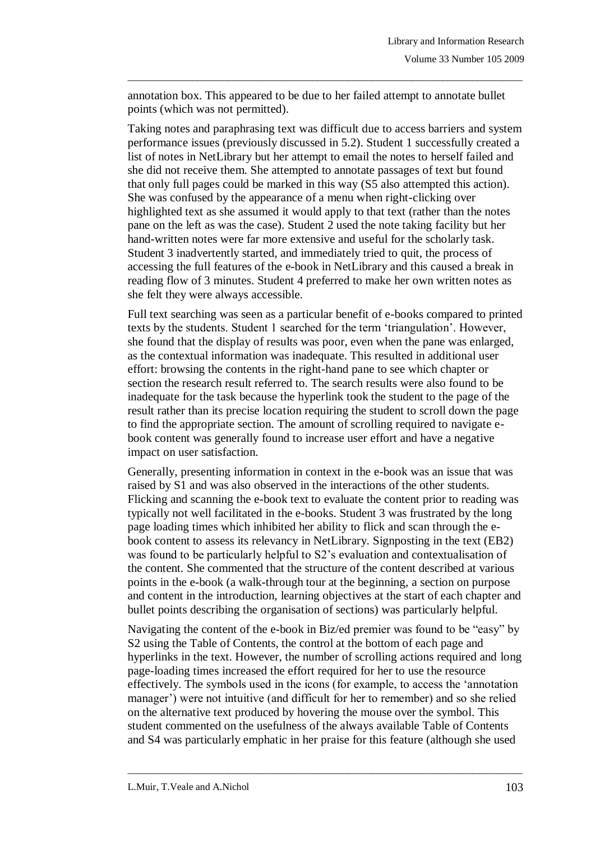annotation box. This appeared to be due to her failed attempt to annotate bullet points (which was not permitted).

 $\_$  ,  $\_$  ,  $\_$  ,  $\_$  ,  $\_$  ,  $\_$  ,  $\_$  ,  $\_$  ,  $\_$  ,  $\_$  ,  $\_$  ,  $\_$  ,  $\_$  ,  $\_$  ,  $\_$  ,  $\_$  ,  $\_$  ,  $\_$  ,  $\_$  ,  $\_$  ,  $\_$  ,  $\_$  ,  $\_$  ,  $\_$  ,  $\_$  ,  $\_$  ,  $\_$  ,  $\_$  ,  $\_$  ,  $\_$  ,  $\_$  ,  $\_$  ,  $\_$  ,  $\_$  ,  $\_$  ,  $\_$  ,  $\_$  ,

Taking notes and paraphrasing text was difficult due to access barriers and system performance issues (previously discussed in 5.2). Student 1 successfully created a list of notes in NetLibrary but her attempt to email the notes to herself failed and she did not receive them. She attempted to annotate passages of text but found that only full pages could be marked in this way (S5 also attempted this action). She was confused by the appearance of a menu when right-clicking over highlighted text as she assumed it would apply to that text (rather than the notes pane on the left as was the case). Student 2 used the note taking facility but her hand-written notes were far more extensive and useful for the scholarly task. Student 3 inadvertently started, and immediately tried to quit, the process of accessing the full features of the e-book in NetLibrary and this caused a break in reading flow of 3 minutes. Student 4 preferred to make her own written notes as she felt they were always accessible.

Full text searching was seen as a particular benefit of e-books compared to printed texts by the students. Student 1 searched for the term "triangulation". However, she found that the display of results was poor, even when the pane was enlarged, as the contextual information was inadequate. This resulted in additional user effort: browsing the contents in the right-hand pane to see which chapter or section the research result referred to. The search results were also found to be inadequate for the task because the hyperlink took the student to the page of the result rather than its precise location requiring the student to scroll down the page to find the appropriate section. The amount of scrolling required to navigate ebook content was generally found to increase user effort and have a negative impact on user satisfaction.

Generally, presenting information in context in the e-book was an issue that was raised by S1 and was also observed in the interactions of the other students. Flicking and scanning the e-book text to evaluate the content prior to reading was typically not well facilitated in the e-books. Student 3 was frustrated by the long page loading times which inhibited her ability to flick and scan through the ebook content to assess its relevancy in NetLibrary. Signposting in the text (EB2) was found to be particularly helpful to S2's evaluation and contextualisation of the content. She commented that the structure of the content described at various points in the e-book (a walk-through tour at the beginning, a section on purpose and content in the introduction, learning objectives at the start of each chapter and bullet points describing the organisation of sections) was particularly helpful.

Navigating the content of the e-book in Biz/ed premier was found to be "easy" by S2 using the Table of Contents, the control at the bottom of each page and hyperlinks in the text. However, the number of scrolling actions required and long page-loading times increased the effort required for her to use the resource effectively. The symbols used in the icons (for example, to access the "annotation manager') were not intuitive (and difficult for her to remember) and so she relied on the alternative text produced by hovering the mouse over the symbol. This student commented on the usefulness of the always available Table of Contents and S4 was particularly emphatic in her praise for this feature (although she used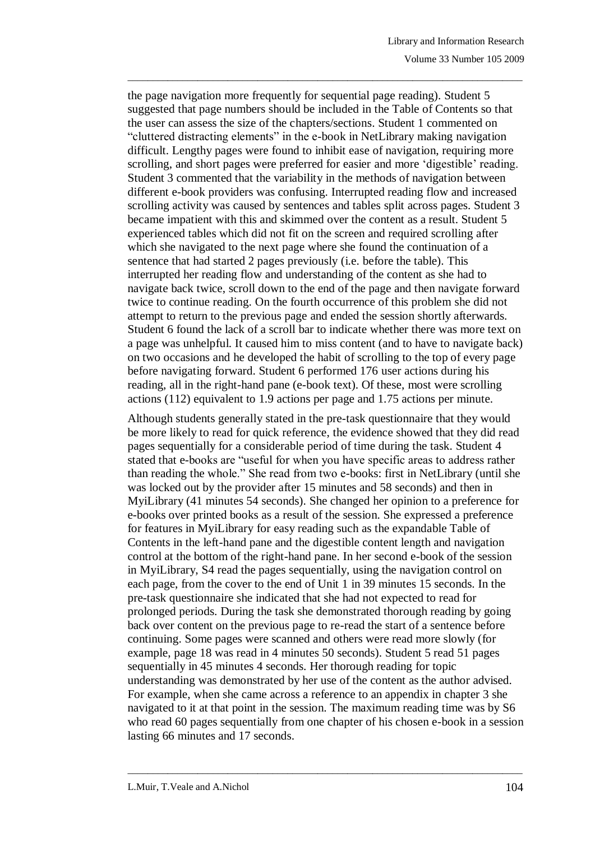the page navigation more frequently for sequential page reading). Student 5 suggested that page numbers should be included in the Table of Contents so that the user can assess the size of the chapters/sections. Student 1 commented on "cluttered distracting elements" in the e-book in NetLibrary making navigation difficult. Lengthy pages were found to inhibit ease of navigation, requiring more scrolling, and short pages were preferred for easier and more "digestible" reading. Student 3 commented that the variability in the methods of navigation between different e-book providers was confusing. Interrupted reading flow and increased scrolling activity was caused by sentences and tables split across pages. Student 3 became impatient with this and skimmed over the content as a result. Student 5 experienced tables which did not fit on the screen and required scrolling after which she navigated to the next page where she found the continuation of a sentence that had started 2 pages previously (i.e. before the table). This interrupted her reading flow and understanding of the content as she had to navigate back twice, scroll down to the end of the page and then navigate forward twice to continue reading. On the fourth occurrence of this problem she did not attempt to return to the previous page and ended the session shortly afterwards. Student 6 found the lack of a scroll bar to indicate whether there was more text on a page was unhelpful. It caused him to miss content (and to have to navigate back) on two occasions and he developed the habit of scrolling to the top of every page before navigating forward. Student 6 performed 176 user actions during his reading, all in the right-hand pane (e-book text). Of these, most were scrolling actions (112) equivalent to 1.9 actions per page and 1.75 actions per minute.

 $\_$  ,  $\_$  ,  $\_$  ,  $\_$  ,  $\_$  ,  $\_$  ,  $\_$  ,  $\_$  ,  $\_$  ,  $\_$  ,  $\_$  ,  $\_$  ,  $\_$  ,  $\_$  ,  $\_$  ,  $\_$  ,  $\_$  ,  $\_$  ,  $\_$  ,  $\_$  ,  $\_$  ,  $\_$  ,  $\_$  ,  $\_$  ,  $\_$  ,  $\_$  ,  $\_$  ,  $\_$  ,  $\_$  ,  $\_$  ,  $\_$  ,  $\_$  ,  $\_$  ,  $\_$  ,  $\_$  ,  $\_$  ,  $\_$  ,

Although students generally stated in the pre-task questionnaire that they would be more likely to read for quick reference, the evidence showed that they did read pages sequentially for a considerable period of time during the task. Student 4 stated that e-books are "useful for when you have specific areas to address rather than reading the whole." She read from two e-books: first in NetLibrary (until she was locked out by the provider after 15 minutes and 58 seconds) and then in MyiLibrary (41 minutes 54 seconds). She changed her opinion to a preference for e-books over printed books as a result of the session. She expressed a preference for features in MyiLibrary for easy reading such as the expandable Table of Contents in the left-hand pane and the digestible content length and navigation control at the bottom of the right-hand pane. In her second e-book of the session in MyiLibrary, S4 read the pages sequentially, using the navigation control on each page, from the cover to the end of Unit 1 in 39 minutes 15 seconds. In the pre-task questionnaire she indicated that she had not expected to read for prolonged periods. During the task she demonstrated thorough reading by going back over content on the previous page to re-read the start of a sentence before continuing. Some pages were scanned and others were read more slowly (for example, page 18 was read in 4 minutes 50 seconds). Student 5 read 51 pages sequentially in 45 minutes 4 seconds. Her thorough reading for topic understanding was demonstrated by her use of the content as the author advised. For example, when she came across a reference to an appendix in chapter 3 she navigated to it at that point in the session. The maximum reading time was by S6 who read 60 pages sequentially from one chapter of his chosen e-book in a session lasting 66 minutes and 17 seconds.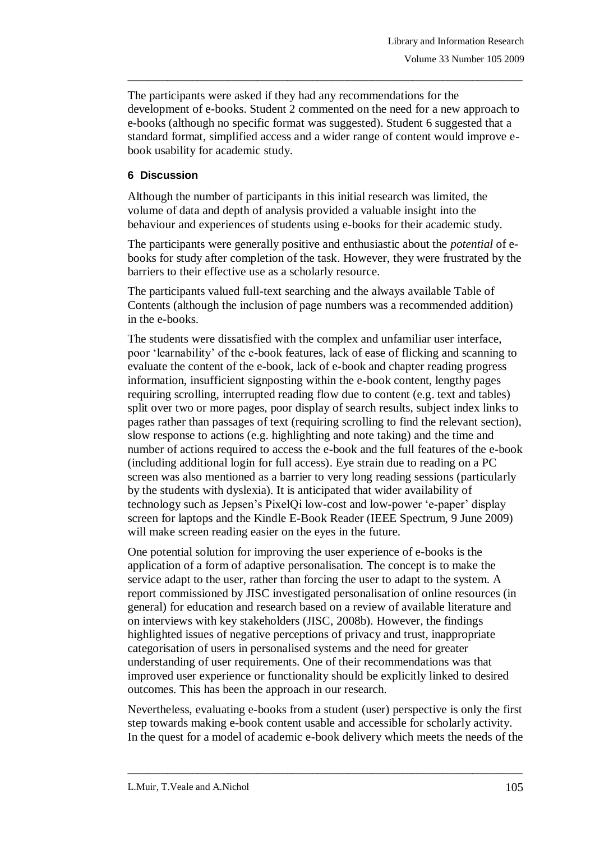The participants were asked if they had any recommendations for the development of e-books. Student 2 commented on the need for a new approach to e-books (although no specific format was suggested). Student 6 suggested that a standard format, simplified access and a wider range of content would improve ebook usability for academic study.

 $\_$  ,  $\_$  ,  $\_$  ,  $\_$  ,  $\_$  ,  $\_$  ,  $\_$  ,  $\_$  ,  $\_$  ,  $\_$  ,  $\_$  ,  $\_$  ,  $\_$  ,  $\_$  ,  $\_$  ,  $\_$  ,  $\_$  ,  $\_$  ,  $\_$  ,  $\_$  ,  $\_$  ,  $\_$  ,  $\_$  ,  $\_$  ,  $\_$  ,  $\_$  ,  $\_$  ,  $\_$  ,  $\_$  ,  $\_$  ,  $\_$  ,  $\_$  ,  $\_$  ,  $\_$  ,  $\_$  ,  $\_$  ,  $\_$  ,

## **6 Discussion**

Although the number of participants in this initial research was limited, the volume of data and depth of analysis provided a valuable insight into the behaviour and experiences of students using e-books for their academic study.

The participants were generally positive and enthusiastic about the *potential* of ebooks for study after completion of the task. However, they were frustrated by the barriers to their effective use as a scholarly resource.

The participants valued full-text searching and the always available Table of Contents (although the inclusion of page numbers was a recommended addition) in the e-books.

The students were dissatisfied with the complex and unfamiliar user interface, poor "learnability" of the e-book features, lack of ease of flicking and scanning to evaluate the content of the e-book, lack of e-book and chapter reading progress information, insufficient signposting within the e-book content, lengthy pages requiring scrolling, interrupted reading flow due to content (e.g. text and tables) split over two or more pages, poor display of search results, subject index links to pages rather than passages of text (requiring scrolling to find the relevant section), slow response to actions (e.g. highlighting and note taking) and the time and number of actions required to access the e-book and the full features of the e-book (including additional login for full access). Eye strain due to reading on a PC screen was also mentioned as a barrier to very long reading sessions (particularly by the students with dyslexia). It is anticipated that wider availability of technology such as Jepsen"s PixelQi low-cost and low-power "e-paper" display screen for laptops and the Kindle E-Book Reader (IEEE Spectrum, 9 June 2009) will make screen reading easier on the eyes in the future.

One potential solution for improving the user experience of e-books is the application of a form of adaptive personalisation. The concept is to make the service adapt to the user, rather than forcing the user to adapt to the system. A report commissioned by JISC investigated personalisation of online resources (in general) for education and research based on a review of available literature and on interviews with key stakeholders (JISC, 2008b). However, the findings highlighted issues of negative perceptions of privacy and trust, inappropriate categorisation of users in personalised systems and the need for greater understanding of user requirements. One of their recommendations was that improved user experience or functionality should be explicitly linked to desired outcomes. This has been the approach in our research.

Nevertheless, evaluating e-books from a student (user) perspective is only the first step towards making e-book content usable and accessible for scholarly activity. In the quest for a model of academic e-book delivery which meets the needs of the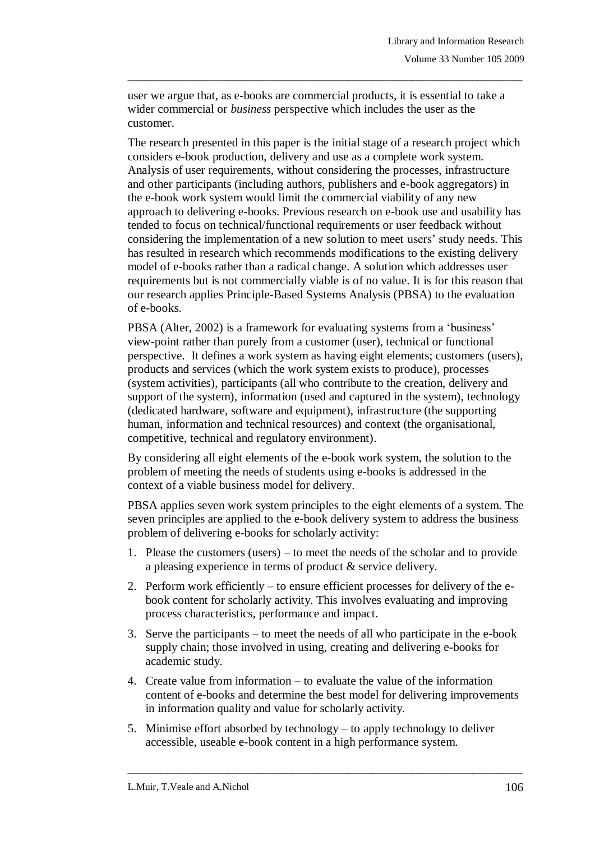user we argue that, as e-books are commercial products, it is essential to take a wider commercial or *business* perspective which includes the user as the customer.

 $\_$  ,  $\_$  ,  $\_$  ,  $\_$  ,  $\_$  ,  $\_$  ,  $\_$  ,  $\_$  ,  $\_$  ,  $\_$  ,  $\_$  ,  $\_$  ,  $\_$  ,  $\_$  ,  $\_$  ,  $\_$  ,  $\_$  ,  $\_$  ,  $\_$  ,  $\_$  ,  $\_$  ,  $\_$  ,  $\_$  ,  $\_$  ,  $\_$  ,  $\_$  ,  $\_$  ,  $\_$  ,  $\_$  ,  $\_$  ,  $\_$  ,  $\_$  ,  $\_$  ,  $\_$  ,  $\_$  ,  $\_$  ,  $\_$  ,

The research presented in this paper is the initial stage of a research project which considers e-book production, delivery and use as a complete work system. Analysis of user requirements, without considering the processes, infrastructure and other participants (including authors, publishers and e-book aggregators) in the e-book work system would limit the commercial viability of any new approach to delivering e-books. Previous research on e-book use and usability has tended to focus on technical/functional requirements or user feedback without considering the implementation of a new solution to meet users" study needs. This has resulted in research which recommends modifications to the existing delivery model of e-books rather than a radical change. A solution which addresses user requirements but is not commercially viable is of no value. It is for this reason that our research applies Principle-Based Systems Analysis (PBSA) to the evaluation of e-books.

PBSA (Alter, 2002) is a framework for evaluating systems from a 'business' view-point rather than purely from a customer (user), technical or functional perspective. It defines a work system as having eight elements; customers (users), products and services (which the work system exists to produce), processes (system activities), participants (all who contribute to the creation, delivery and support of the system), information (used and captured in the system), technology (dedicated hardware, software and equipment), infrastructure (the supporting human, information and technical resources) and context (the organisational, competitive, technical and regulatory environment).

By considering all eight elements of the e-book work system, the solution to the problem of meeting the needs of students using e-books is addressed in the context of a viable business model for delivery.

PBSA applies seven work system principles to the eight elements of a system. The seven principles are applied to the e-book delivery system to address the business problem of delivering e-books for scholarly activity:

- 1. Please the customers (users) to meet the needs of the scholar and to provide a pleasing experience in terms of product & service delivery.
- 2. Perform work efficiently to ensure efficient processes for delivery of the ebook content for scholarly activity. This involves evaluating and improving process characteristics, performance and impact.
- 3. Serve the participants to meet the needs of all who participate in the e-book supply chain; those involved in using, creating and delivering e-books for academic study.
- 4. Create value from information to evaluate the value of the information content of e-books and determine the best model for delivering improvements in information quality and value for scholarly activity.

 $\_$  ,  $\_$  ,  $\_$  ,  $\_$  ,  $\_$  ,  $\_$  ,  $\_$  ,  $\_$  ,  $\_$  ,  $\_$  ,  $\_$  ,  $\_$  ,  $\_$  ,  $\_$  ,  $\_$  ,  $\_$  ,  $\_$  ,  $\_$  ,  $\_$  ,  $\_$  ,  $\_$  ,  $\_$  ,  $\_$  ,  $\_$  ,  $\_$  ,  $\_$  ,  $\_$  ,  $\_$  ,  $\_$  ,  $\_$  ,  $\_$  ,  $\_$  ,  $\_$  ,  $\_$  ,  $\_$  ,  $\_$  ,  $\_$  ,

5. Minimise effort absorbed by technology – to apply technology to deliver accessible, useable e-book content in a high performance system.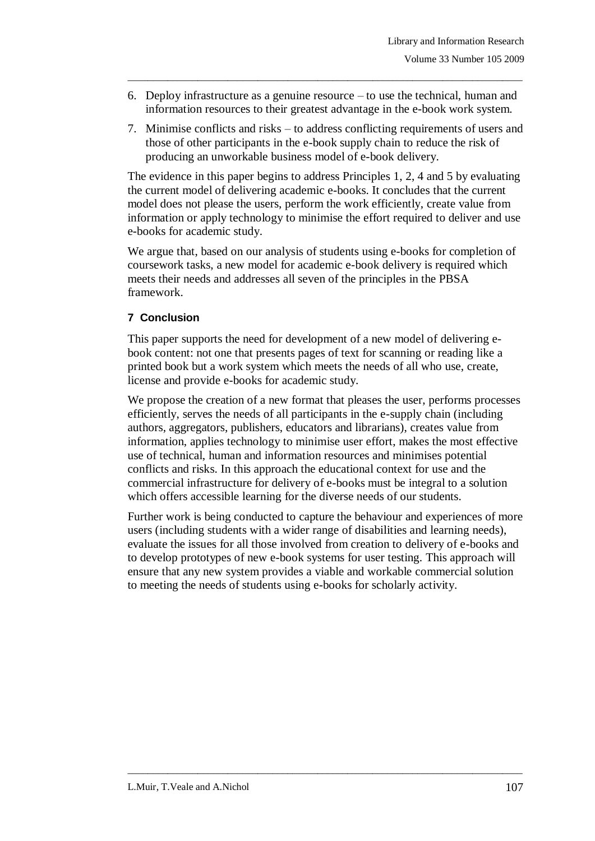6. Deploy infrastructure as a genuine resource – to use the technical, human and information resources to their greatest advantage in the e-book work system.

 $\_$  ,  $\_$  ,  $\_$  ,  $\_$  ,  $\_$  ,  $\_$  ,  $\_$  ,  $\_$  ,  $\_$  ,  $\_$  ,  $\_$  ,  $\_$  ,  $\_$  ,  $\_$  ,  $\_$  ,  $\_$  ,  $\_$  ,  $\_$  ,  $\_$  ,  $\_$  ,  $\_$  ,  $\_$  ,  $\_$  ,  $\_$  ,  $\_$  ,  $\_$  ,  $\_$  ,  $\_$  ,  $\_$  ,  $\_$  ,  $\_$  ,  $\_$  ,  $\_$  ,  $\_$  ,  $\_$  ,  $\_$  ,  $\_$  ,

7. Minimise conflicts and risks – to address conflicting requirements of users and those of other participants in the e-book supply chain to reduce the risk of producing an unworkable business model of e-book delivery.

The evidence in this paper begins to address Principles 1, 2, 4 and 5 by evaluating the current model of delivering academic e-books. It concludes that the current model does not please the users, perform the work efficiently, create value from information or apply technology to minimise the effort required to deliver and use e-books for academic study.

We argue that, based on our analysis of students using e-books for completion of coursework tasks, a new model for academic e-book delivery is required which meets their needs and addresses all seven of the principles in the PBSA framework.

## **7 Conclusion**

This paper supports the need for development of a new model of delivering ebook content: not one that presents pages of text for scanning or reading like a printed book but a work system which meets the needs of all who use, create, license and provide e-books for academic study.

We propose the creation of a new format that pleases the user, performs processes efficiently, serves the needs of all participants in the e-supply chain (including authors, aggregators, publishers, educators and librarians), creates value from information, applies technology to minimise user effort, makes the most effective use of technical, human and information resources and minimises potential conflicts and risks. In this approach the educational context for use and the commercial infrastructure for delivery of e-books must be integral to a solution which offers accessible learning for the diverse needs of our students.

Further work is being conducted to capture the behaviour and experiences of more users (including students with a wider range of disabilities and learning needs), evaluate the issues for all those involved from creation to delivery of e-books and to develop prototypes of new e-book systems for user testing. This approach will ensure that any new system provides a viable and workable commercial solution to meeting the needs of students using e-books for scholarly activity.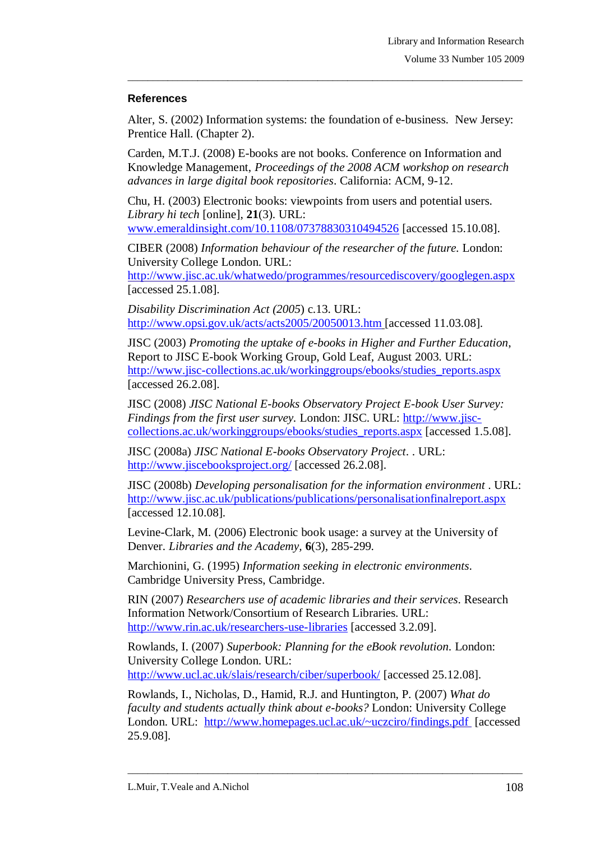### **References**

Alter, S. (2002) Information systems: the foundation of e-business. New Jersey: Prentice Hall. (Chapter 2).

 $\_$  ,  $\_$  ,  $\_$  ,  $\_$  ,  $\_$  ,  $\_$  ,  $\_$  ,  $\_$  ,  $\_$  ,  $\_$  ,  $\_$  ,  $\_$  ,  $\_$  ,  $\_$  ,  $\_$  ,  $\_$  ,  $\_$  ,  $\_$  ,  $\_$  ,  $\_$  ,  $\_$  ,  $\_$  ,  $\_$  ,  $\_$  ,  $\_$  ,  $\_$  ,  $\_$  ,  $\_$  ,  $\_$  ,  $\_$  ,  $\_$  ,  $\_$  ,  $\_$  ,  $\_$  ,  $\_$  ,  $\_$  ,  $\_$  ,

Carden, M.T.J. (2008) E-books are not books. Conference on Information and Knowledge Management, *Proceedings of the 2008 ACM workshop on research advances in large digital book repositories*. California: ACM, 9-12.

Chu, H. (2003) Electronic books: viewpoints from users and potential users. *Library hi tech* [online], **21**(3). URL: [www.emeraldinsight.com/10.1108/07378830310494526](http://www.emeraldinsight.com/10.1108/07378830310494526) [accessed 15.10.08].

CIBER (2008) *Information behaviour of the researcher of the future.* London: University College London. URL:

<http://www.jisc.ac.uk/whatwedo/programmes/resourcediscovery/googlegen.aspx> [accessed 25.1.08].

*Disability Discrimination Act (2005*) c.13. URL: <http://www.opsi.gov.uk/acts/acts2005/20050013.htm> [accessed 11.03.08].

JISC (2003) *Promoting the uptake of e-books in Higher and Further Education*, Report to JISC E-book Working Group, Gold Leaf, August 2003. URL: [http://www.jisc-collections.ac.uk/workinggroups/ebooks/studies\\_reports.aspx](http://www.jisc-collections.ac.uk/workinggroups/ebooks/studies_reports.aspx) [accessed 26.2.08].

JISC (2008) *JISC National E-books Observatory Project E-book User Survey: Findings from the first user survey.* London: JISC. URL: [http://www.jisc](http://www.jisc-collections.ac.uk/workinggroups/ebooks/studies_reports.aspx)[collections.ac.uk/workinggroups/ebooks/studies\\_reports.aspx](http://www.jisc-collections.ac.uk/workinggroups/ebooks/studies_reports.aspx) [accessed 1.5.08].

JISC (2008a) *JISC National E-books Observatory Project*. . URL: <http://www.jiscebooksproject.org/> [accessed 26.2.08].

JISC (2008b) *Developing personalisation for the information environment* . URL: <http://www.jisc.ac.uk/publications/publications/personalisationfinalreport.aspx> [accessed 12.10.08].

Levine-Clark, M. (2006) Electronic book usage: a survey at the University of Denver. *Libraries and the Academy,* **6**(3), 285-299.

Marchionini, G. (1995) *Information seeking in electronic environments*. Cambridge University Press, Cambridge.

RIN (2007) *Researchers use of academic libraries and their services*. Research Information Network/Consortium of Research Libraries. URL: <http://www.rin.ac.uk/researchers-use-libraries> [accessed 3.2.09].

Rowlands, I. (2007) *Superbook: Planning for the eBook revolution.* London: University College London. URL: <http://www.ucl.ac.uk/slais/research/ciber/superbook/> [accessed 25.12.08].

Rowlands, I., Nicholas, D., Hamid, R.J. and Huntington, P. (2007) *What do faculty and students actually think about e-books?* London: University College London. URL: <http://www.homepages.ucl.ac.uk/~uczciro/findings.pdf> [accessed] 25.9.08].